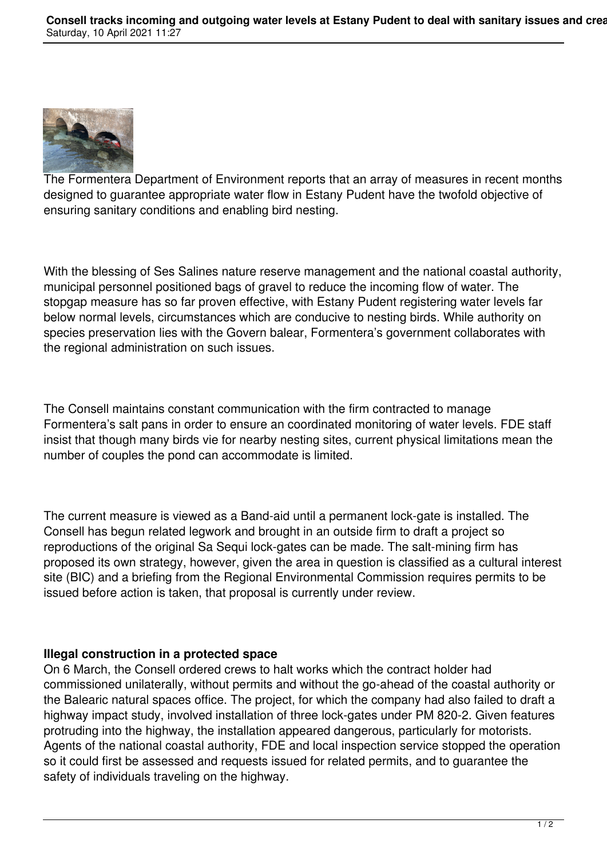

The Formentera Department of Environment reports that an array of measures in recent months designed to guarantee appropriate water flow in Estany Pudent have the twofold objective of ensuring sanitary conditions and enabling bird nesting.

With the blessing of Ses Salines nature reserve management and the national coastal authority, municipal personnel positioned bags of gravel to reduce the incoming flow of water. The stopgap measure has so far proven effective, with Estany Pudent registering water levels far below normal levels, circumstances which are conducive to nesting birds. While authority on species preservation lies with the Govern balear, Formentera's government collaborates with the regional administration on such issues.

The Consell maintains constant communication with the firm contracted to manage Formentera's salt pans in order to ensure an coordinated monitoring of water levels. FDE staff insist that though many birds vie for nearby nesting sites, current physical limitations mean the number of couples the pond can accommodate is limited.

The current measure is viewed as a Band-aid until a permanent lock-gate is installed. The Consell has begun related legwork and brought in an outside firm to draft a project so reproductions of the original Sa Sequi lock-gates can be made. The salt-mining firm has proposed its own strategy, however, given the area in question is classified as a cultural interest site (BIC) and a briefing from the Regional Environmental Commission requires permits to be issued before action is taken, that proposal is currently under review.

## **Illegal construction in a protected space**

On 6 March, the Consell ordered crews to halt works which the contract holder had commissioned unilaterally, without permits and without the go-ahead of the coastal authority or the Balearic natural spaces office. The project, for which the company had also failed to draft a highway impact study, involved installation of three lock-gates under PM 820-2. Given features protruding into the highway, the installation appeared dangerous, particularly for motorists. Agents of the national coastal authority, FDE and local inspection service stopped the operation so it could first be assessed and requests issued for related permits, and to guarantee the safety of individuals traveling on the highway.